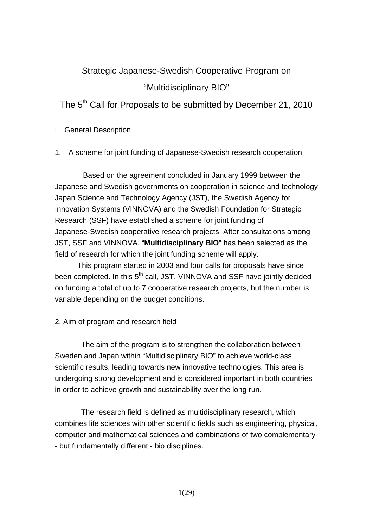# Strategic Japanese-Swedish Cooperative Program on

# "Multidisciplinary BIO"

# The 5<sup>th</sup> Call for Proposals to be submitted by December 21, 2010

# I General Description

# 1. A scheme for joint funding of Japanese-Swedish research cooperation

Based on the agreement concluded in January 1999 between the Japanese and Swedish governments on cooperation in science and technology, Japan Science and Technology Agency (JST), the Swedish Agency for Innovation Systems (VINNOVA) and the Swedish Foundation for Strategic Research (SSF) have established a scheme for joint funding of Japanese-Swedish cooperative research projects. After consultations among JST, SSF and VINNOVA, "**Multidisciplinary BIO**" has been selected as the field of research for which the joint funding scheme will apply.

This program started in 2003 and four calls for proposals have since been completed. In this 5<sup>th</sup> call, JST, VINNOVA and SSF have jointly decided on funding a total of up to 7 cooperative research projects, but the number is variable depending on the budget conditions.

# 2. Aim of program and research field

The aim of the program is to strengthen the collaboration between Sweden and Japan within "Multidisciplinary BIO" to achieve world-class scientific results, leading towards new innovative technologies. This area is undergoing strong development and is considered important in both countries in order to achieve growth and sustainability over the long run.

The research field is defined as multidisciplinary research, which combines life sciences with other scientific fields such as engineering, physical, computer and mathematical sciences and combinations of two complementary - but fundamentally different - bio disciplines.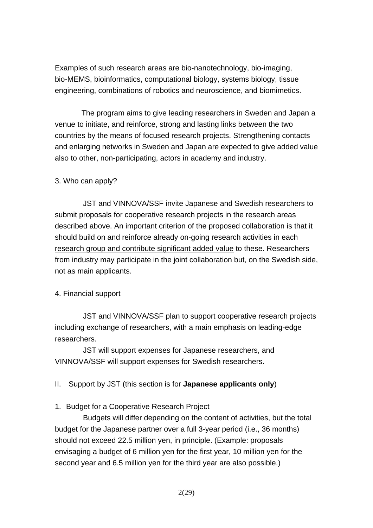Examples of such research areas are bio-nanotechnology, bio-imaging, bio-MEMS, bioinformatics, computational biology, systems biology, tissue engineering, combinations of robotics and neuroscience, and biomimetics.

The program aims to give leading researchers in Sweden and Japan a venue to initiate, and reinforce, strong and lasting links between the two countries by the means of focused research projects. Strengthening contacts and enlarging networks in Sweden and Japan are expected to give added value also to other, non-participating, actors in academy and industry.

# 3. Who can apply?

JST and VINNOVA/SSF invite Japanese and Swedish researchers to submit proposals for cooperative research projects in the research areas described above. An important criterion of the proposed collaboration is that it should build on and reinforce already on-going research activities in each research group and contribute significant added value to these. Researchers from industry may participate in the joint collaboration but, on the Swedish side, not as main applicants.

# 4. Financial support

JST and VINNOVA/SSF plan to support cooperative research projects including exchange of researchers, with a main emphasis on leading-edge researchers.

JST will support expenses for Japanese researchers, and VINNOVA/SSF will support expenses for Swedish researchers.

II. Support by JST (this section is for **Japanese applicants only**)

# 1. Budget for a Cooperative Research Project

Budgets will differ depending on the content of activities, but the total budget for the Japanese partner over a full 3-year period (i.e., 36 months) should not exceed 22.5 million yen, in principle. (Example: proposals envisaging a budget of 6 million yen for the first year, 10 million yen for the second year and 6.5 million yen for the third year are also possible.)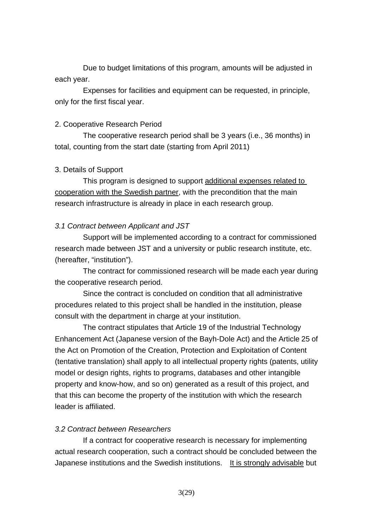Due to budget limitations of this program, amounts will be adjusted in each year.

Expenses for facilities and equipment can be requested, in principle, only for the first fiscal year.

# 2. Cooperative Research Period

The cooperative research period shall be 3 years (i.e., 36 months) in total, counting from the start date (starting from April 2011)

# 3. Details of Support

This program is designed to support additional expenses related to cooperation with the Swedish partner, with the precondition that the main research infrastructure is already in place in each research group.

# *3.1 Contract between Applicant and JST*

Support will be implemented according to a contract for commissioned research made between JST and a university or public research institute, etc. (hereafter, "institution").

The contract for commissioned research will be made each year during the cooperative research period.

Since the contract is concluded on condition that all administrative procedures related to this project shall be handled in the institution, please consult with the department in charge at your institution.

The contract stipulates that Article 19 of the Industrial Technology Enhancement Act (Japanese version of the Bayh-Dole Act) and the Article 25 of the Act on Promotion of the Creation, Protection and Exploitation of Content (tentative translation) shall apply to all intellectual property rights (patents, utility model or design rights, rights to programs, databases and other intangible property and know-how, and so on) generated as a result of this project, and that this can become the property of the institution with which the research leader is affiliated.

# *3.2 Contract between Researchers*

If a contract for cooperative research is necessary for implementing actual research cooperation, such a contract should be concluded between the Japanese institutions and the Swedish institutions. It is strongly advisable but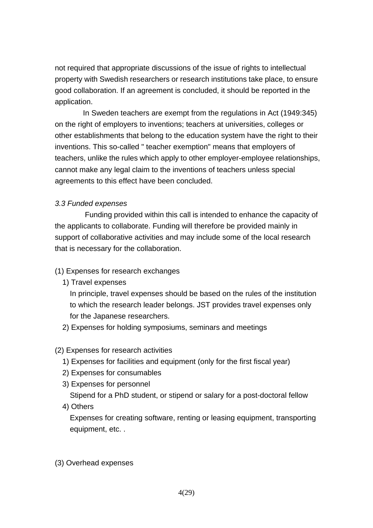not required that appropriate discussions of the issue of rights to intellectual property with Swedish researchers or research institutions take place, to ensure good collaboration. If an agreement is concluded, it should be reported in the application.

In Sweden teachers are exempt from the regulations in Act (1949:345) on the right of employers to inventions; teachers at universities, colleges or other establishments that belong to the education system have the right to their inventions. This so-called " teacher exemption" means that employers of teachers, unlike the rules which apply to other employer-employee relationships, cannot make any legal claim to the inventions of teachers unless special agreements to this effect have been concluded.

# *3.3 Funded expenses*

Funding provided within this call is intended to enhance the capacity of the applicants to collaborate. Funding will therefore be provided mainly in support of collaborative activities and may include some of the local research that is necessary for the collaboration.

# (1) Expenses for research exchanges

1) Travel expenses

In principle, travel expenses should be based on the rules of the institution to which the research leader belongs. JST provides travel expenses only for the Japanese researchers.

2) Expenses for holding symposiums, seminars and meetings

# (2) Expenses for research activities

- 1) Expenses for facilities and equipment (only for the first fiscal year)
- 2) Expenses for consumables
- 3) Expenses for personnel Stipend for a PhD student, or stipend or salary for a post-doctoral fellow
- 4) Others

Expenses for creating software, renting or leasing equipment, transporting equipment, etc. .

# (3) Overhead expenses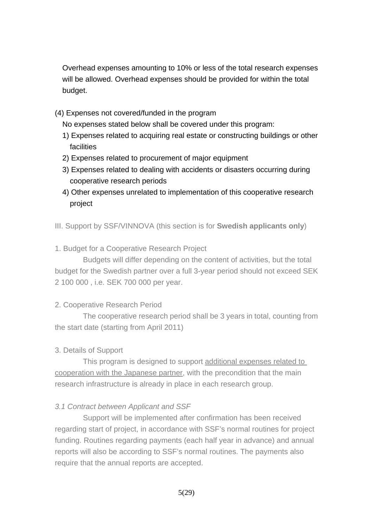Overhead expenses amounting to 10% or less of the total research expenses will be allowed. Overhead expenses should be provided for within the total budget.

(4) Expenses not covered/funded in the program

No expenses stated below shall be covered under this program:

- 1) Expenses related to acquiring real estate or constructing buildings or other facilities
- 2) Expenses related to procurement of major equipment
- 3) Expenses related to dealing with accidents or disasters occurring during cooperative research periods
- 4) Other expenses unrelated to implementation of this cooperative research project
- III. Support by SSF/VINNOVA (this section is for **Swedish applicants only**)
- 1. Budget for a Cooperative Research Project

Budgets will differ depending on the content of activities, but the total budget for the Swedish partner over a full 3-year period should not exceed SEK 2 100 000 , i.e. SEK 700 000 per year.

# 2. Cooperative Research Period

The cooperative research period shall be 3 years in total, counting from the start date (starting from April 2011)

# 3. Details of Support

This program is designed to support additional expenses related to cooperation with the Japanese partner, with the precondition that the main research infrastructure is already in place in each research group.

# *3.1 Contract between Applicant and SSF*

Support will be implemented after confirmation has been received regarding start of project, in accordance with SSF's normal routines for project funding. Routines regarding payments (each half year in advance) and annual reports will also be according to SSF's normal routines. The payments also require that the annual reports are accepted.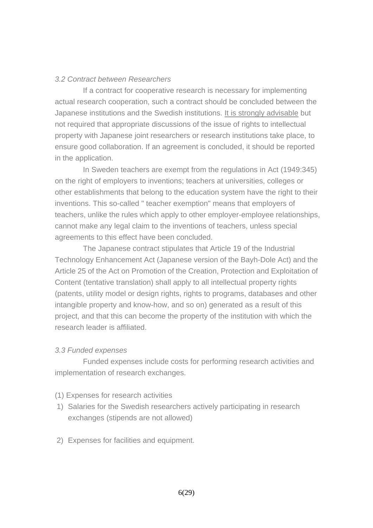## *3.2 Contract between Researchers*

If a contract for cooperative research is necessary for implementing actual research cooperation, such a contract should be concluded between the Japanese institutions and the Swedish institutions. It is strongly advisable but not required that appropriate discussions of the issue of rights to intellectual property with Japanese joint researchers or research institutions take place, to ensure good collaboration. If an agreement is concluded, it should be reported in the application.

In Sweden teachers are exempt from the regulations in Act (1949:345) on the right of employers to inventions; teachers at universities, colleges or other establishments that belong to the education system have the right to their inventions. This so-called " teacher exemption" means that employers of teachers, unlike the rules which apply to other employer-employee relationships, cannot make any legal claim to the inventions of teachers, unless special agreements to this effect have been concluded.

The Japanese contract stipulates that Article 19 of the Industrial Technology Enhancement Act (Japanese version of the Bayh-Dole Act) and the Article 25 of the Act on Promotion of the Creation, Protection and Exploitation of Content (tentative translation) shall apply to all intellectual property rights (patents, utility model or design rights, rights to programs, databases and other intangible property and know-how, and so on) generated as a result of this project, and that this can become the property of the institution with which the research leader is affiliated.

### *3.3 Funded expenses*

Funded expenses include costs for performing research activities and implementation of research exchanges.

- (1) Expenses for research activities
- 1) Salaries for the Swedish researchers actively participating in research exchanges (stipends are not allowed)
- 2) Expenses for facilities and equipment.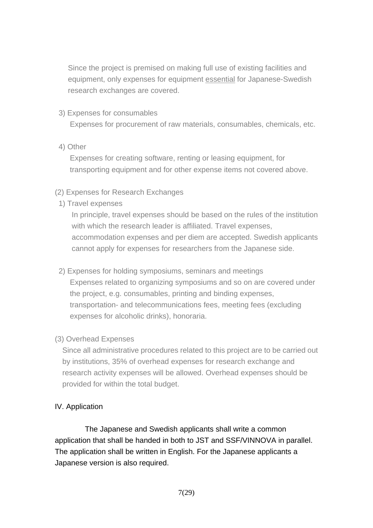Since the project is premised on making full use of existing facilities and equipment, only expenses for equipment essential for Japanese-Swedish research exchanges are covered.

3) Expenses for consumables

Expenses for procurement of raw materials, consumables, chemicals, etc.

4) Other

Expenses for creating software, renting or leasing equipment, for transporting equipment and for other expense items not covered above.

- (2) Expenses for Research Exchanges
- 1) Travel expenses

In principle, travel expenses should be based on the rules of the institution with which the research leader is affiliated. Travel expenses, accommodation expenses and per diem are accepted. Swedish applicants cannot apply for expenses for researchers from the Japanese side.

- 2) Expenses for holding symposiums, seminars and meetings Expenses related to organizing symposiums and so on are covered under the project, e.g. consumables, printing and binding expenses, transportation- and telecommunications fees, meeting fees (excluding expenses for alcoholic drinks), honoraria.
- (3) Overhead Expenses

Since all administrative procedures related to this project are to be carried out by institutions, 35% of overhead expenses for research exchange and research activity expenses will be allowed. Overhead expenses should be provided for within the total budget.

# IV. Application

The Japanese and Swedish applicants shall write a common application that shall be handed in both to JST and SSF/VINNOVA in parallel. The application shall be written in English. For the Japanese applicants a Japanese version is also required.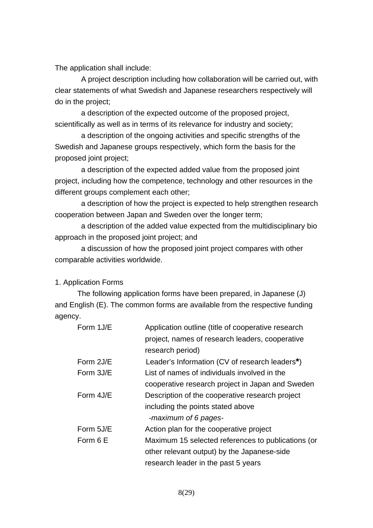The application shall include:

A project description including how collaboration will be carried out, with clear statements of what Swedish and Japanese researchers respectively will do in the project;

a description of the expected outcome of the proposed project, scientifically as well as in terms of its relevance for industry and society;

a description of the ongoing activities and specific strengths of the Swedish and Japanese groups respectively, which form the basis for the proposed joint project;

a description of the expected added value from the proposed joint project, including how the competence, technology and other resources in the different groups complement each other;

a description of how the project is expected to help strengthen research cooperation between Japan and Sweden over the longer term;

a description of the added value expected from the multidisciplinary bio approach in the proposed joint project; and

a discussion of how the proposed joint project compares with other comparable activities worldwide.

## 1. Application Forms

The following application forms have been prepared, in Japanese (J) and English (E). The common forms are available from the respective funding agency.

| Form 1J/E | Application outline (title of cooperative research |
|-----------|----------------------------------------------------|
|           | project, names of research leaders, cooperative    |
|           | research period)                                   |
| Form 2J/E | Leader's Information (CV of research leaders*)     |
| Form 3J/E | List of names of individuals involved in the       |
|           | cooperative research project in Japan and Sweden   |
| Form 4J/E | Description of the cooperative research project    |
|           | including the points stated above                  |
|           | -maximum of 6 pages-                               |
| Form 5J/E | Action plan for the cooperative project            |
| Form 6 E  | Maximum 15 selected references to publications (or |
|           | other relevant output) by the Japanese-side        |
|           | research leader in the past 5 years                |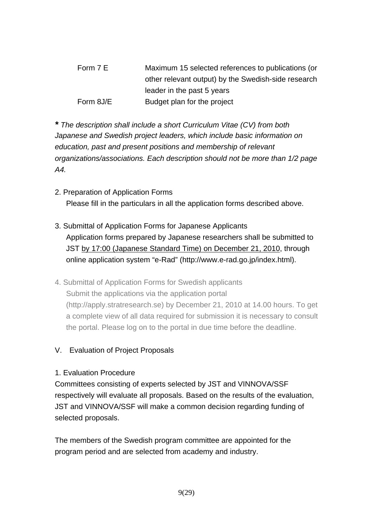Form 7 E Maximum 15 selected references to publications (or other relevant output) by the Swedish-side research leader in the past 5 years Form 8J/E Budget plan for the project

*\* The description shall include a short Curriculum Vitae (CV) from both Japanese and Swedish project leaders, which include basic information on education, past and present positions and membership of relevant organizations/associations. Each description should not be more than 1/2 page A4.* 

- 2. Preparation of Application Forms Please fill in the particulars in all the application forms described above.
- 3. Submittal of Application Forms for Japanese Applicants Application forms prepared by Japanese researchers shall be submitted to JST by 17:00 (Japanese Standard Time) on December 21, 2010, through online application system "e-Rad" (http://www.e-rad.go.jp/index.html).
- 4. Submittal of Application Forms for Swedish applicants Submit the applications via the application portal (http://apply.stratresearch.se) by December 21, 2010 at 14.00 hours. To get a complete view of all data required for submission it is necessary to consult the portal. Please log on to the portal in due time before the deadline.

# V. Evaluation of Project Proposals

# 1. Evaluation Procedure

Committees consisting of experts selected by JST and VINNOVA/SSF respectively will evaluate all proposals. Based on the results of the evaluation, JST and VINNOVA/SSF will make a common decision regarding funding of selected proposals.

The members of the Swedish program committee are appointed for the program period and are selected from academy and industry.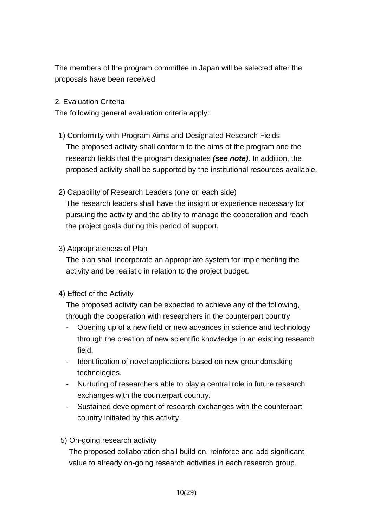The members of the program committee in Japan will be selected after the proposals have been received.

# 2. Evaluation Criteria

The following general evaluation criteria apply:

- 1) Conformity with Program Aims and Designated Research Fields The proposed activity shall conform to the aims of the program and the research fields that the program designates *(see note)*. In addition, the proposed activity shall be supported by the institutional resources available.
- 2) Capability of Research Leaders (one on each side)

The research leaders shall have the insight or experience necessary for pursuing the activity and the ability to manage the cooperation and reach the project goals during this period of support.

3) Appropriateness of Plan

The plan shall incorporate an appropriate system for implementing the activity and be realistic in relation to the project budget.

4) Effect of the Activity

The proposed activity can be expected to achieve any of the following, through the cooperation with researchers in the counterpart country:

- Opening up of a new field or new advances in science and technology through the creation of new scientific knowledge in an existing research field.
- Identification of novel applications based on new groundbreaking technologies.
- Nurturing of researchers able to play a central role in future research exchanges with the counterpart country.
- Sustained development of research exchanges with the counterpart country initiated by this activity.
- 5) On-going research activity

The proposed collaboration shall build on, reinforce and add significant value to already on-going research activities in each research group.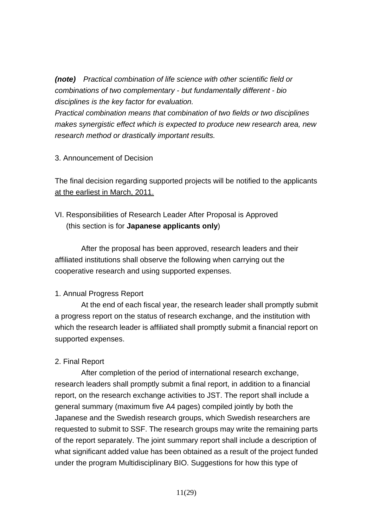*(note) Practical combination of life science with other scientific field or combinations of two complementary - but fundamentally different - bio disciplines is the key factor for evaluation.* 

*Practical combination means that combination of two fields or two disciplines makes synergistic effect which is expected to produce new research area, new research method or drastically important results.*

# 3. Announcement of Decision

The final decision regarding supported projects will be notified to the applicants at the earliest in March, 2011.

# VI. Responsibilities of Research Leader After Proposal is Approved (this section is for **Japanese applicants only**)

 After the proposal has been approved, research leaders and their affiliated institutions shall observe the following when carrying out the cooperative research and using supported expenses.

# 1. Annual Progress Report

 At the end of each fiscal year, the research leader shall promptly submit a progress report on the status of research exchange, and the institution with which the research leader is affiliated shall promptly submit a financial report on supported expenses.

## 2. Final Report

 After completion of the period of international research exchange, research leaders shall promptly submit a final report, in addition to a financial report, on the research exchange activities to JST. The report shall include a general summary (maximum five A4 pages) compiled jointly by both the Japanese and the Swedish research groups, which Swedish researchers are requested to submit to SSF. The research groups may write the remaining parts of the report separately. The joint summary report shall include a description of what significant added value has been obtained as a result of the project funded under the program Multidisciplinary BIO. Suggestions for how this type of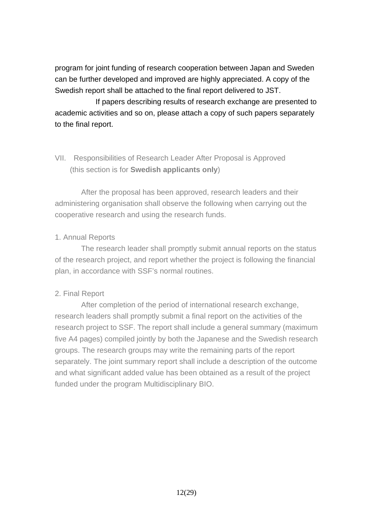program for joint funding of research cooperation between Japan and Sweden can be further developed and improved are highly appreciated. A copy of the Swedish report shall be attached to the final report delivered to JST.

If papers describing results of research exchange are presented to academic activities and so on, please attach a copy of such papers separately to the final report.

# VII. Responsibilities of Research Leader After Proposal is Approved (this section is for **Swedish applicants only**)

 After the proposal has been approved, research leaders and their administering organisation shall observe the following when carrying out the cooperative research and using the research funds.

# 1. Annual Reports

 The research leader shall promptly submit annual reports on the status of the research project, and report whether the project is following the financial plan, in accordance with SSF's normal routines.

# 2. Final Report

 After completion of the period of international research exchange, research leaders shall promptly submit a final report on the activities of the research project to SSF. The report shall include a general summary (maximum five A4 pages) compiled jointly by both the Japanese and the Swedish research groups. The research groups may write the remaining parts of the report separately. The joint summary report shall include a description of the outcome and what significant added value has been obtained as a result of the project funded under the program Multidisciplinary BIO.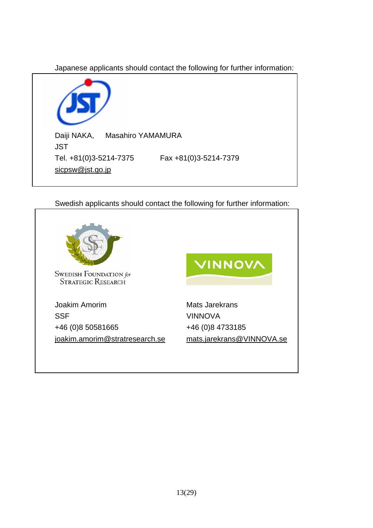Japanese applicants should contact the following for further information:



Swedish applicants should contact the following for further information:

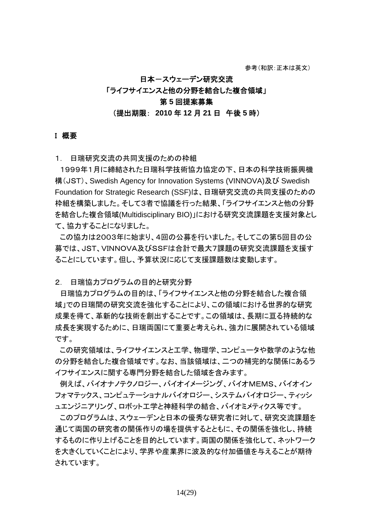# 日本ースウェーデン研究交流 「ライフサイエンスと他の分野を結合した複合領域」 第 **5** 回提案募集 (提出期限: **2010** 年 **12** 月 **21** 日 午後 **5** 時)

#### I 概要

1. 日瑞研究交流の共同支援のための枠組

 1999年1月に締結された日瑞科学技術協力協定の下、日本の科学技術振興機 構(JST)、Swedish Agency for Innovation Systems (VINNOVA)及び Swedish Foundation for Strategic Research (SSF)は、日瑞研究交流の共同支援のための 枠組を構築しました。そして3者で協議を行った結果、「ライフサイエンスと他の分野 を結合した複合領域(Multidisciplinary BIO)」における研究交流課題を支援対象とし て、協力することになりました。

 この協力は2003年に始まり、4回の公募を行いました。そしてこの第5回目の公 募では、JST、VINNOVA及びSSFは合計で最大7課題の研究交流課題を支援す ることにしています。但し、予算状況に応じて支援課題数は変動します。

2. 日瑞協力プログラムの目的と研究分野

日瑞協力プログラムの目的は、「ライフサイエンスと他の分野を結合した複合領 域」での日瑞間の研究交流を強化することにより、この領域における世界的な研究 成果を得て、革新的な技術を創出することです。この領域は、長期に亘る持続的な 成長を実現するために、日瑞両国にて重要と考えられ、強力に展開されている領域 です。

この研究領域は、ライフサイエンスと工学、物理学、コンピュータや数学のような他 の分野を結合した複合領域です。なお、当該領域は、二つの補完的な関係にあるラ イフサイエンスに関する専門分野を結合した領域を含みます。

 例えば、バイオナノテクノロジー、バイオイメージング、バイオMEMS、バイオイン フォマテックス、コンピュテーショナルバイオロジー、システムバイオロジー、ティッシ ュエンジニアリング、ロボット工学と神経科学の結合、バイオミメティクス等です。

このプログラムは、スウェーデンと日本の優秀な研究者に対して、研究交流課題を 通じて両国の研究者の関係作りの場を提供するとともに、その関係を強化し、持続 するものに作り上げることを目的としています。両国の関係を強化して、ネットワーク を大きくしていくことにより、学界や産業界に波及的な付加価値を与えることが期待 されています。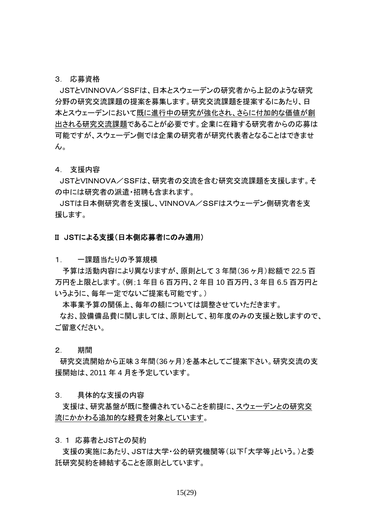#### 3. 応募資格

 JSTとVINNOVA/SSFは、日本とスウェーデンの研究者から上記のような研究 分野の研究交流課題の提案を募集します。研究交流課題を提案するにあたり、日 本とスウェーデンにおいて既に進行中の研究が強化され、さらに付加的な価値が創 出される研究交流課題であることが必要です。企業に在籍する研究者からの応募は 可能ですが、スウェーデン側では企業の研究者が研究代表者となることはできませ  $\mathcal{L}_{\alpha}$ 

4. 支援内容

 JSTとVINNOVA/SSFは、研究者の交流を含む研究交流課題を支援します。そ の中には研究者の派遣・招聘も含まれます。

 JSTは日本側研究者を支援し、VINNOVA/SSFはスウェーデン側研究者を支 援します。

#### II JSTによる支援(日本側応募者にのみ適用)

1. 一課題当たりの予算規模

予算は活動内容により異なりますが、原則として 3 年間(36 ヶ月)総額で 22.5 百 万円を上限とします。(例;1 年目 6 百万円、2 年目 10 百万円、3 年目 6.5 百万円と いうように、毎年一定でないご提案も可能です。)

本事業予算の関係上、毎年の額については調整させていただきます。

 なお、設備備品費に関しましては、原則として、初年度のみの支援と致しますので、 ご留意ください。

2. 期間

 研究交流開始から正味 3 年間(36 ヶ月)を基本としてご提案下さい。研究交流の支 援開始は、2011 年 4 月を予定しています。

3. 具体的な支援の内容

支援は、研究基盤が既に整備されていることを前提に、スウェーデンとの研究交 流にかかわる追加的な経費を対象としています。

3.1 応募者とJSTとの契約

支援の実施にあたり、JSTは大学・公的研究機関等(以下「大学等」という。)と委 託研究契約を締結することを原則としています。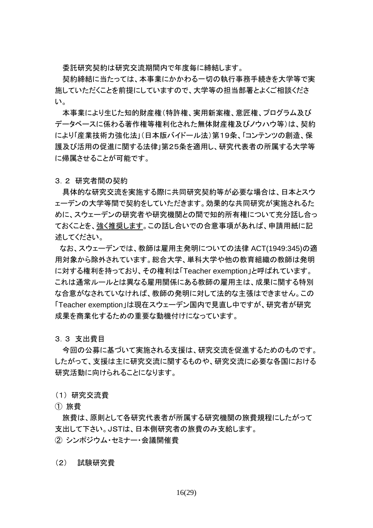委託研究契約は研究交流期間内で年度毎に締結します。

契約締結に当たっては、本事業にかかわる一切の執行事務手続きを大学等で実 施していただくことを前提にしていますので、大学等の担当部署とよくご相談くださ い。

本事業により生じた知的財産権(特許権、実用新案権、意匠権、プログラム及び データベースに係わる著作権等権利化された無体財産権及びノウハウ等)は、契約 により「産業技術力強化法」(日本版バイドール法)第19条、「コンテンツの創造、保 護及び活用の促進に関する法律」第25条を適用し、研究代表者の所属する大学等 に帰属させることが可能です。

3.2 研究者間の契約

具体的な研究交流を実施する際に共同研究契約等が必要な場合は、日本とスウ ェーデンの大学等間で契約をしていただきます。効果的な共同研究が実施されるた めに、スウェーデンの研究者や研究機関との間で知的所有権について充分話し合っ ておくことを、強く推奨します。この話し合いでの合意事項があれば、申請用紙に記 述してください。

 なお、スウェーデンでは、教師は雇用主発明についての法律 ACT(1949:345)の適 用対象から除外されています。総合大学、単科大学や他の教育組織の教師は発明 に対する権利を持っており、その権利は「Teacher exemption」と呼ばれています。 これは通常ルールとは異なる雇用関係にある教師の雇用主は、成果に関する特別 な合意がなされていなければ、教師の発明に対して法的な主張はできません。この 「Teacher exemption」は現在スウェーデン国内で見直し中ですが、研究者が研究 成果を商業化するための重要な動機付けになっています。

3.3 支出費目

今回の公募に基づいて実施される支援は、研究交流を促進するためのものです。 したがって、支援は主に研究交流に関するものや、研究交流に必要な各国における 研究活動に向けられることになります。

(1) 研究交流費

① 旅費

旅費は、原則として各研究代表者が所属する研究機関の旅費規程にしたがって 支出して下さい。JSTは、日本側研究者の旅費のみ支給します。 ② シンポジウム・セミナー・会議開催費

(2) 試験研究費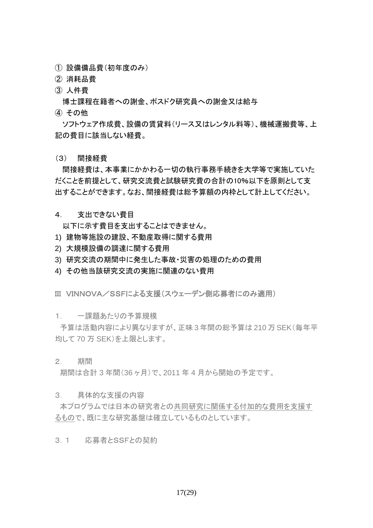- ① 設備備品費(初年度のみ)
- ② 消耗品費
- ③ 人件費

博士課程在籍者への謝金、ポスドク研究員への謝金又は給与

④ その他

ソフトウェア作成費、設備の賃貸料(リース又はレンタル料等)、機械運搬費等、上 記の費目に該当しない経費。

(3) 間接経費

間接経費は、本事業にかかわる一切の執行事務手続きを大学等で実施していた だくことを前提として、研究交流費と試験研究費の合計の10%以下を原則として支 出することができます。なお、間接経費は総予算額の内枠として計上してください。

4. 支出できない費目

以下に示す費目を支出することはできません。

- 1) 建物等施設の建設、不動産取得に関する費用
- 2) 大規模設備の調達に関する費用
- 3) 研究交流の期間中に発生した事故・災害の処理のための費用
- 4) その他当該研究交流の実施に関連のない費用
- III VINNOVA/SSFによる支援(スウェーデン側応募者にのみ適用)
- 1. 一課題あたりの予算規模

 予算は活動内容により異なりますが、正味 3 年間の総予算は 210 万 SEK(毎年平 均して 70 万 SEK)を上限とします。

2. 期間

期間は合計 3 年間(36 ヶ月)で、2011 年 4 月から開始の予定です。

3. 具体的な支援の内容

 本プログラムでは日本の研究者との共同研究に関係する付加的な費用を支援す るもので、既に主な研究基盤は確立しているものとしています。

3.1 応募者とSSFとの契約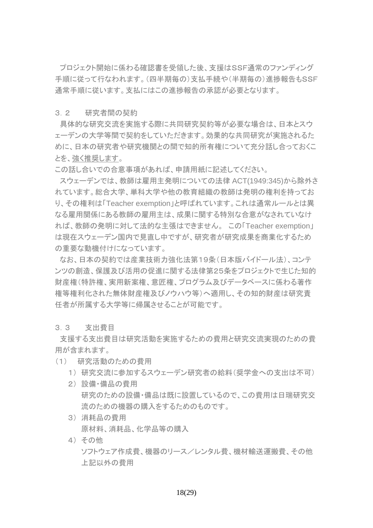プロジェクト開始に係わる確認書を受領した後、支援はSSF通常のファンディング 手順に従って行なわれます。(四半期毎の)支払手続や(半期毎の)進捗報告もSSF 通常手順に従います。支払にはこの進捗報告の承認が必要となります。

#### 3.2 研究者間の契約

 具体的な研究交流を実施する際に共同研究契約等が必要な場合は、日本とスウ ェーデンの大学等間で契約をしていただきます。効果的な共同研究が実施されるた めに、日本の研究者や研究機関との間で知的所有権について充分話し合っておくこ とを、強く推奨します。

この話し合いでの合意事項があれば、申請用紙に記述してください。

 スウェーデンでは、教師は雇用主発明についての法律 ACT(1949:345)から除外さ れています。総合大学、単科大学や他の教育組織の教師は発明の権利を持ってお り、その権利は「Teacher exemption」と呼ばれています。これは通常ルールとは異 なる雇用関係にある教師の雇用主は、成果に関する特別な合意がなされていなけ れば、教師の発明に対して法的な主張はできません。 この「Teacher exemption」 は現在スウェーデン国内で見直し中ですが、研究者が研究成果を商業化するため の重要な動機付けになっています。

 なお、日本の契約では産業技術力強化法第19条(日本版バイドール法)、コンテ ンツの創造、保護及び活用の促進に関する法律第25条をプロジェクトで生じた知的 財産権(特許権、実用新案権、意匠権、プログラム及びデータベースに係わる著作 権等権利化された無体財産権及びノウハウ等)へ適用し、その知的財産は研究責 任者が所属する大学等に帰属させることが可能です。

3.3 支出費目

 支援する支出費目は研究活動を実施するための費用と研究交流実現のための費 用が含まれます。

- (1) 研究活動のための費用
	- 1) 研究交流に参加するスウェーデン研究者の給料(奨学金への支出は不可)
	- 2) 設備・備品の費用 研究のための設備・備品は既に設置しているので、この費用は日瑞研究交 流のための機器の購入をするためのものです。
	- 3) 消耗品の費用 原材料、消耗品、化学品等の購入
	- 4) その他

ソフトウェア作成費、機器のリース/レンタル費、機材輸送運搬費、その他 上記以外の費用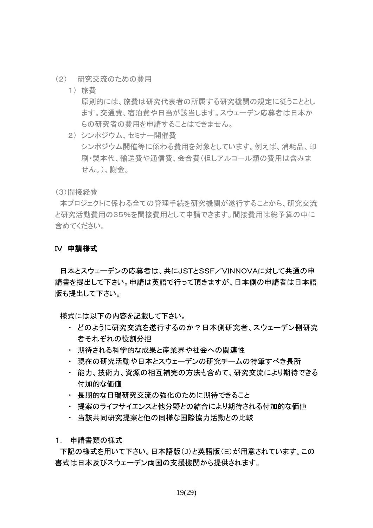- (2) 研究交流のための費用
	- 1) 旅費

原則的には、旅費は研究代表者の所属する研究機関の規定に従うこととし ます。交通費、宿泊費や日当が該当します。スウェーデン応募者は日本か らの研究者の費用を申請することはできません。

2) シンポジウム、セミナー開催費 シンポジウム開催等に係わる費用を対象としています。例えば、消耗品、印 刷・製本代、輸送費や通信費、会合費(但しアルコール類の費用は含みま せん。)、謝金。

(3)間接経費

 本プロジェクトに係わる全ての管理手続を研究機関が遂行することから、研究交流 と研究活動費用の35%を間接費用として申請できます。間接費用は総予算の中に 含めてください。

#### IV 申請様式

 日本とスウェーデンの応募者は、共にJSTとSSF/VINNOVAに対して共通の申 請書を提出して下さい。申請は英語で行って頂きますが、日本側の申請者は日本語 版も提出して下さい。

様式には以下の内容を記載して下さい。

- ・ どのように研究交流を遂行するのか?日本側研究者、スウェーデン側研究 者それぞれの役割分担
- ・ 期待される科学的な成果と産業界や社会への関連性
- ・ 現在の研究活動や日本とスウェーデンの研究チームの特筆すべき長所
- ・ 能力、技術力、資源の相互補完の方法も含めて、研究交流により期待できる 付加的な価値
- ・ 長期的な日瑞研究交流の強化のために期待できること
- ・ 提案のライフサイエンスと他分野との結合により期待される付加的な価値
- ・ 当該共同研究提案と他の同様な国際協力活動との比較
- 1. 申請書類の様式

 下記の様式を用いて下さい。日本語版(J)と英語版(E)が用意されています。この 書式は日本及びスウェーデン両国の支援機関から提供されます。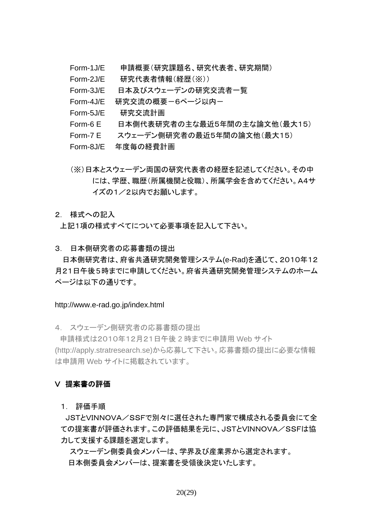- Form-1J/E 申請概要(研究課題名、研究代表者、研究期間)
- Form-2J/E 研究代表者情報(経歴(※))
- Form-3J/E 日本及びスウェーデンの研究交流者一覧
- Form-4J/E 研究交流の概要ー6ページ以内ー
- Form-5J/E 研究交流計画
- Form-6 E 日本側代表研究者の主な最近5年間の主な論文他(最大15)
- Form-7 E スウェーデン側研究者の最近5年間の論文他(最大15)
- Form-8J/E 年度毎の経費計画
- (※)日本とスウェーデン両国の研究代表者の経歴を記述してください。その中 には、学歴、職歴(所属機関と役職)、所属学会を含めてください。A4サ イズの1/2以内でお願いします。

### 2. 様式への記入

上記1項の様式すべてについて必要事項を記入して下さい。

3. 日本側研究者の応募書類の提出

日本側研究者は、府省共通研究開発管理システム(e-Rad)を通じて、2010年12 月21日午後5時までに申請してください。府省共通研究開発管理システムのホーム ページは以下の通りです。

#### http://www.e-rad.go.jp/index.html

4. スウェーデン側研究者の応募書類の提出

 申請様式は2010年12月21日午後 2 時までに申請用 Web サイト (http://apply.stratresearch.se)から応募して下さい。応募書類の提出に必要な情報 は申請用 Web サイトに掲載されています。

### V 提案書の評価

1. 評価手順

 JSTとVINNOVA/SSFで別々に選任された専門家で構成される委員会にて全 ての提案書が評価されます。この評価結果を元に、JSTとVINNOVA/SSFは協 力して支援する課題を選定します。

スウェーデン側委員会メンバーは、学界及び産業界から選定されます。 日本側委員会メンバーは、提案書を受領後決定いたします。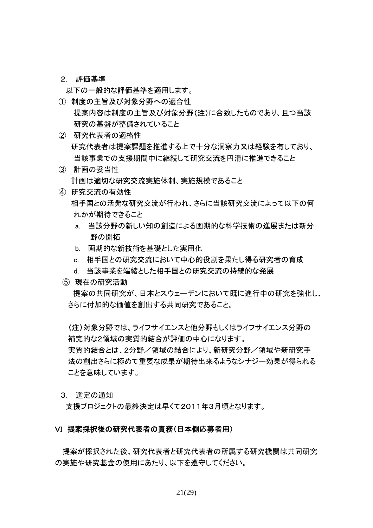2. 評価基準

以下の一般的な評価基準を適用します。

- ① 制度の主旨及び対象分野への適合性 提案内容は制度の主旨及び対象分野(注)に合致したものであり、且つ当該 研究の基盤が整備されていること
- ② 研究代表者の適格性 研究代表者は提案課題を推進する上で十分な洞察力又は経験を有しており、 当該事業での支援期間中に継続して研究交流を円滑に推進できること
- ③ 計画の妥当性 計画は適切な研究交流実施体制、実施規模であること
- ④ 研究交流の有効性 相手国との活発な研究交流が行われ、さらに当該研究交流によって以下の何 れかが期待できること
	- a. 当該分野の新しい知の創造による画期的な科学技術の進展または新分 野の開拓
	- b. 画期的な新技術を基礎とした実用化
	- c. 相手国との研究交流において中心的役割を果たし得る研究者の育成
	- d. 当該事業を端緒とした相手国との研究交流の持続的な発展
	- ⑤ 現在の研究活動

 提案の共同研究が、日本とスウェーデンにおいて既に進行中の研究を強化し、 さらに付加的な価値を創出する共同研究であること。

(注)対象分野では、ライフサイエンスと他分野もしくはライフサイエンス分野の 補完的な2領域の実質的結合が評価の中心になります。 実質的結合とは、2分野/領域の結合により、新研究分野/領域や新研究手 法の創出さらに極めて重要な成果が期待出来るようなシナジー効果が得られる ことを意味しています。

3. 選定の通知

支援プロジェクトの最終決定は早くて2011年3月頃となります。

### VI 提案採択後の研究代表者の責務(日本側応募者用)

提案が採択された後、研究代表者と研究代表者の所属する研究機関は共同研究 の実施や研究基金の使用にあたり、以下を遵守してください。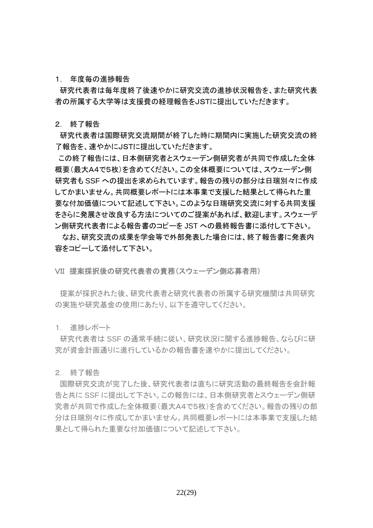#### 1. 年度毎の進捗報告

 研究代表者は毎年度終了後速やかに研究交流の進捗状況報告を、また研究代表 者の所属する大学等は支援費の経理報告をJSTに提出していただきます。

2. 終了報告

 研究代表者は国際研究交流期間が終了した時に期間内に実施した研究交流の終 了報告を、速やかにJSTに提出していただきます。

この終了報告には、日本側研究者とスウェーデン側研究者が共同で作成した全体 概要(最大A4で5枚)を含めてください。この全体概要については、スウェーデン側 研究者も SSF への提出を求められています。報告の残りの部分は日瑞別々に作成 してかまいません。共同概要レポートには本事業で支援した結果として得られた重 要な付加価値について記述して下さい。このような日瑞研究交流に対する共同支援 をさらに発展させ改良する方法についてのご提案があれば、歓迎します。スウェーデ ン側研究代表者による報告書のコピーを JST への最終報告書に添付して下さい。

なお、研究交流の成果を学会等で外部発表した場合には、終了報告書に発表内 容をコピーして添付して下さい。

VII 提案採択後の研究代表者の責務(スウェーデン側応募者用)

 提案が採択された後、研究代表者と研究代表者の所属する研究機関は共同研究 の実施や研究基金の使用にあたり、以下を遵守してください。

1. 進捗レポート

 研究代表者は SSF の通常手続に従い、研究状況に関する進捗報告、ならびに研 究が資金計画通りに進行しているかの報告書を速やかに提出してください。

2. 終了報告

 国際研究交流が完了した後、研究代表者は直ちに研究活動の最終報告を会計報 告と共に SSF に提出して下さい。この報告には、日本側研究者とスウェーデン側研 究者が共同で作成した全体概要(最大A4で5枚)を含めてください。報告の残りの部 分は日瑞別々に作成してかまいません。共同概要レポートには本事業で支援した結 果として得られた重要な付加価値について記述して下さい。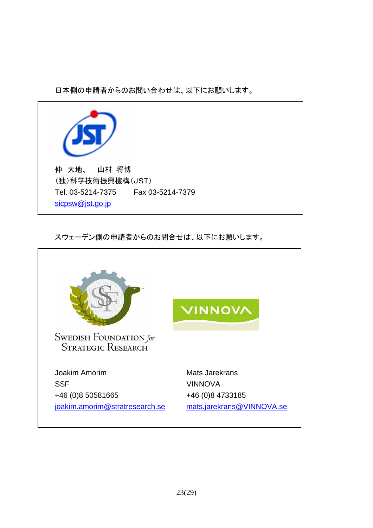日本側の申請者からのお問い合わせは、以下にお願いします。



スウェーデン側の申請者からのお問合せは、以下にお願いします。

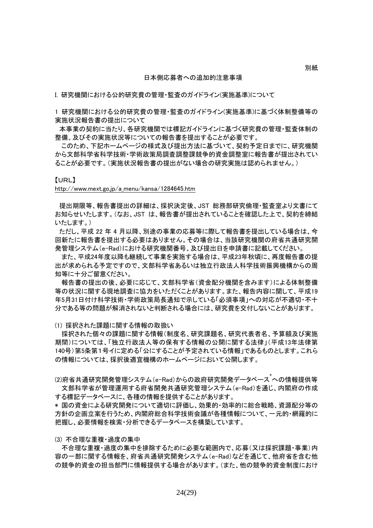#### 日本側応募者への追加的注意事項

I. 研究機関における公的研究費の管理・監査のガイドライン(実施基準)について

1 研究機関における公的研究費の管理・監査のガイドライン(実施基準)に基づく体制整備等の 実施状況報告書の提出について

 本事業の契約に当たり、各研究機関では標記ガイドラインに基づく研究費の管理・監査体制の 整備、及びその実施状況等についての報告書を提出することが必要です。

このため、下記ホームページの様式及び提出方法に基づいて、契約予定日までに、研究機関 から文部科学省科学技術・学術政策局調査調整課競争的資金調整室に報告書が提出されてい ることが必要です。(実施状況報告書の提出がない場合の研究実施は認められません。)

#### 【URL】

http://www.mext.go.jp/a\_menu/kansa/1284645.htm

 提出期限等、報告書提出の詳細は、採択決定後、JST 総務部研究倫理・監査室より文書にて お知らせいたします。(なお、JST は、報告書が提出されていることを確認した上で、契約を締結 いたします。)

 ただし、平成 22 年 4 月以降、別途の事業の応募等に際して報告書を提出している場合は、今 回新たに報告書を提出する必要はありません。その場合は、当該研究機関の府省共通研究開 発管理システム(e-Rad)における研究機関番号、及び提出日を申請書に記載してください。

また、平成24年度以降も継続して事業を実施する場合は、平成23年秋頃に、再度報告書の提 出が求められる予定ですので、文部科学省あるいは独立行政法人科学技術振興機構からの周 知等に十分ご留意ください。

報告書の提出の後、必要に応じて、文部科学省(資金配分機関を含みます)による体制整備 等の状況に関する現地調査に協力をいただくことがあります。また、報告内容に関して、平成19 年5月31日付け科学技術・学術政策局長通知で示している「必須事項」への対応が不適切・不十 分である等の問題が解消されないと判断される場合には、研究費を交付しないことがあります。

(1) 採択された課題に関する情報の取扱い

採択された個々の課題に関する情報(制度名、研究課題名、研究代表者名、予算額及び実施 期間)については、「独立行政法人等の保有する情報の公開に関する法律」(平成13年法律第 140号)第5条第1号イに定める「公にすることが予定されている情報」であるものとします。これら の情報については、採択後適宜機構のホームページにおいて公開します。

(2)府省共通研究開発管理システム(e-Rad)からの政府研究開発データベース<sup>\*</sup>への情報提供等 文部科学省が管理運用する府省開発共通研究管理システム(e-Rad)を通じ、内閣府の作成 する標記データベースに、各種の情報を提供することがあります。

\* 国の資金による研究開発について適切に評価し、効果的・効率的に総合戦略、資源配分等の 方針の企画立案を行うため、内閣府総合科学技術会議が各種情報について、一元的・網羅的に 把握し、必要情報を検索・分析できるデータベースを構築しています。

(3) 不合理な重複・過度の集中

不合理な重複・過度の集中を排除するために必要な範囲内で、応募(又は採択課題・事業)内 容の一部に関する情報を、府省共通研究開発システム(e-Rad)などを通じて、他府省を含む他 の競争的資金の担当部門に情報提供する場合があります。(また、他の競争的資金制度におけ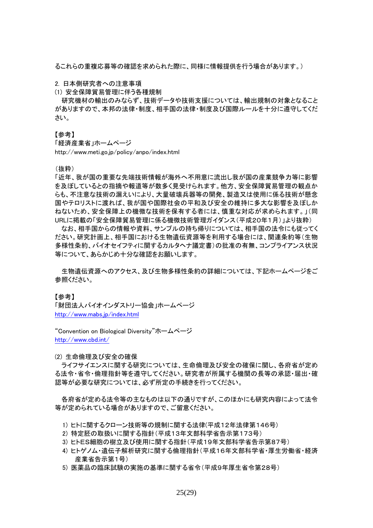るこれらの重複応募等の確認を求められた際に、同様に情報提供を行う場合があります。)

2. 日本側研究者への注意事項

(1) 安全保障貿易管理に伴う各種規制

研究機材の輸出のみならず、技術データや技術支援については、輸出規制の対象となること がありますので、本邦の法律・制度、相手国の法律・制度及び国際ルールを十分に遵守してくだ さい。

【参考】

「経済産業省」ホームページ

http://www.meti.go.jp/policy/anpo/index.html

(抜粋)

「近年、我が国の重要な先端技術情報が海外へ不用意に流出し我が国の産業競争力等に影響 を及ぼしているとの指摘や報道等が数多く見受けられます。他方、安全保障貿易管理の観点か らも、不注意な技術の漏えいにより、大量破壊兵器等の開発、製造又は使用に係る技術が懸念 国やテロリストに渡れば、我が国や国際社会の平和及び安全の維持に多大な影響を及ぼしか ねないため、安全保障上の機微な技術を保有する者には、慎重な対応が求められます。」(同 URLに掲載の「安全保障貿易管理に係る機微技術管理ガイダンス(平成20年1月)」より抜粋)

なお、相手国からの情報や資料、サンプルの持ち帰りについては、相手国の法令にも従ってく ださい。研究計画上、相手国における生物遺伝資源等を利用する場合には、関連条約等(生物 多様性条約、バイオセイフティに関するカルタヘナ議定書)の批准の有無、コンプライアンス状況 等について、あらかじめ十分な確認をお願いします。

生物遺伝資源へのアクセス、及び生物多様性条約の詳細については、下記ホームページをご 参照ください。

#### 【参考】

「財団法人バイオインダストリー協会」ホームページ <http://www.mabs.jp/index.html>

"Convention on Biological Diversity"ホームページ <http://www.cbd.int/>

(2) 生命倫理及び安全の確保

ライフサイエンスに関する研究については、生命倫理及び安全の確保に関し、各府省が定め る法令・省令・倫理指針等を遵守してください。研究者が所属する機関の長等の承認・届出・確 認等が必要な研究については、必ず所定の手続きを行ってください。

各府省が定める法令等の主なものは以下の通りですが、このほかにも研究内容によって法令 等が定められている場合がありますので、ご留意ください。

- 1) ヒトに関するクローン技術等の規制に関する法律(平成12年法律第146号)
- 2) 特定胚の取扱いに関する指針(平成13年文部科学省告示第173号)
- 3) ヒトES細胞の樹立及び使用に関する指針(平成19年文部科学省告示第87号)
- 4) ヒトゲノム・遺伝子解析研究に関する倫理指針(平成16年文部科学省・厚生労働省・経済 産業省告示第1号)
- 5) 医薬品の臨床試験の実施の基準に関する省令(平成9年厚生省令第28号)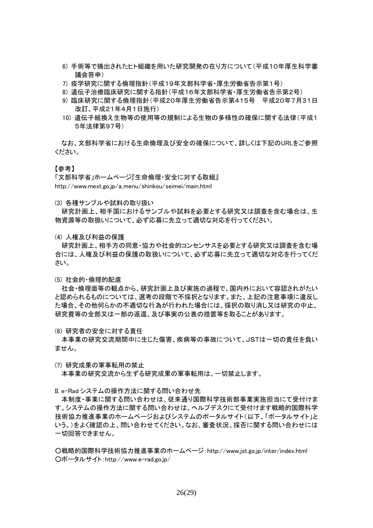- 6) 手術等で摘出されたヒト組織を用いた研究開発の在り方について(平成10年厚生科学審 議会答申)
- 7) 疫学研究に関する倫理指針(平成19年文部科学省・厚生労働省告示第1号)
- 8) 遺伝子治療臨床研究に関する指針(平成16年文部科学省・厚生労働省告示第2号)
- 9) 臨床研究に関する倫理指針(平成20年厚生労働省告示第415号 平成20年7月31日 改訂、平成21年4月1日施行)
- 10) 遺伝子組換え生物等の使用等の規制による生物の多様性の確保に関する法律(平成1 5年法律第97号)

なお、文部科学省における生命倫理及び安全の確保について、詳しくは下記のURLをご参照 ください。

#### 【参考】

「文部科学省」ホームページ『生命倫理・安全に対する取組』 http://www.mext.go.jp/a\_menu/shinkou/seimei/main.html

(3) 各種サンプルや試料の取り扱い

研究計画上、相手国におけるサンプルや試料を必要とする研究又は調査を含む場合は、生 物資源等の取扱いについて、必ず応募に先立って適切な対応を行ってください。

(4) 人権及び利益の保護

研究計画上、相手方の同意・協力や社会的コンセンサスを必要とする研究又は調査を含む場 合には、人権及び利益の保護の取扱いについて、必ず応募に先立って適切な対応を行ってくだ さい。

(5) 社会的・倫理的配慮

社会・倫理面等の観点から、研究計画上及び実施の過程で、国内外において容認されがたい と認められるものについては、選考の段階で不採択となります。また、上記の注意事項に違反し た場合、その他何らかの不適切な行為が行われた場合には、採択の取り消し又は研究の中止、 研究費等の全部又は一部の返還、及び事実の公表の措置等を取ることがあります。

(6) 研究者の安全に対する責任

本事業の研究交流期間中に生じた傷害、疾病等の事故について、JSTは一切の責任を負い ません。

(7) 研究成果の軍事転用の禁止

本事業の研究交流から生ずる研究成果の軍事転用は、一切禁止します。

II. e-Rad システムの操作方法に関する問い合わせ先

本制度・事業に関する問い合わせは、従来通り国際科学技術部事業実施担当にて受付けま す。システムの操作方法に関する問い合わせは、ヘルプデスクにて受付けます戦略的国際科学 技術協力推進事業のホームページおよびシステムのポータルサイト(以下、「ポータルサイト」と いう。)をよく確認の上、問い合わせてください。なお、審査状況、採否に関する問い合わせには 一切回答できません。

○戦略的国際科学技術協力推進事業のホームページ:http://www.jst.go.jp/inter/index.html ○ポータルサイト:http://www.e-rad.go.jp/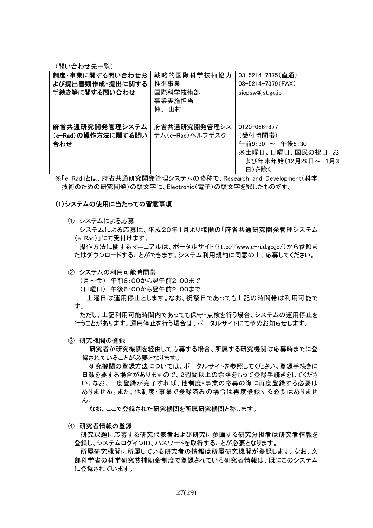(問い合わせ先一覧)

| 制度・事業に関する問い合わせお<br>よび提出書類作成・提出に関する<br>手続き等に関する問い合わせ | 戦略的国際科学技術協力<br>推進事業<br>国際科学技術部<br>事業実施担当<br>仲、山村 | 03-5214-7375(直通)<br>03-5214-7379 (FAX)<br>sicpsw@jst.go.jp                                    |
|-----------------------------------------------------|--------------------------------------------------|-----------------------------------------------------------------------------------------------|
| 府省共通研究開発管理システム<br>(e-Rad)の操作方法に関する問い<br>合わせ         | 府省共通研究開発管理シス<br>テム(e-Rad)ヘルプデスク                  | 0120-066-877<br>(受付時間帯)<br>午前9:30 ~ 午後5:30<br>※土曜日、日曜日、国民の祝日 お<br>よび年末年始(12月29日~ 1月3<br>日)を除く |

※「e-Rad」とは、府省共通研究開発管理システムの略称で、Research and Development(科学 技術のための研究開発)の頭文字に、Electronic(電子)の頭文字を冠したものです。

#### (1)システムの使用に当たっての留意事項

① システムによる応募

システムによる応募は、平成20年1月より稼働の「府省共通研究開発管理システム (e-Rad)」にて受付けます。

操作方法に関するマニュアルは、ポータルサイト(http://www.e-rad.go.jp/)から参照ま たはダウンロードすることができます。システム利用規約に同意の上、応募してください。

② システムの利用可能時間帯

(月~金) 午前6:00から翌午前2:00まで

(日曜日) 午後6:00から翌午前2:00まで

土曜日は運用停止とします。なお、祝祭日であっても上記の時間帯は利用可能で す。

ただし、上記利用可能時間内であっても保守・点検を行う場合、システムの運用停止を 行うことがあります。運用停止を行う場合は、ポータルサイトにて予めお知らせします。

③ 研究機関の登録

研究者が研究機関を経由して応募する場合、所属する研究機関は応募時までに登 録されていることが必要となります。

研究機関の登録方法については、ポータルサイトを参照してください。登録手続きに 日数を要する場合がありますので、2週間以上の余裕をもって登録手続きをしてくださ い。なお、一度登録が完了すれば、他制度・事業の応募の際に再度登録する必要は ありません。また、他制度・事業で登録済みの場合は再度登録する必要はありませ ん。

なお、ここで登録された研究機関を所属研究機関と称します。

④ 研究者情報の登録

研究課題に応募する研究代表者および研究に参画する研究分担者は研究者情報を 登録し、システムログインID、パスワードを取得することが必要となります。

所属研究機関に所属している研究者の情報は所属研究機関が登録します。なお、文 部科学省の科学研究費補助金制度で登録されている研究者情報は、既にこのシステム に登録されています。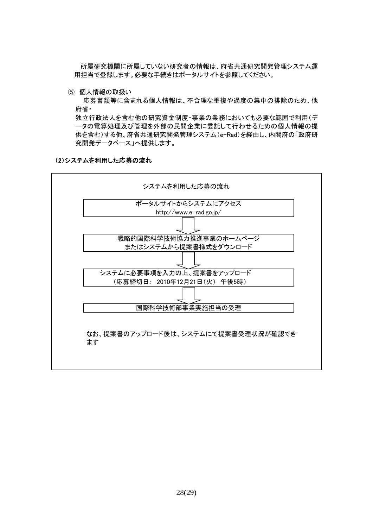所属研究機関に所属していない研究者の情報は、府省共通研究開発管理システム運 用担当で登録します。必要な手続きはポータルサイトを参照してください。

⑤ 個人情報の取扱い

応募書類等に含まれる個人情報は、不合理な重複や過度の集中の排除のため、他 府省・

独立行政法人を含む他の研究資金制度・事業の業務においても必要な範囲で利用(デ ータの電算処理及び管理を外部の民間企業に委託して行わせるための個人情報の提 供を含む)する他、府省共通研究開発管理システム(e-Rad)を経由し、内閣府の「政府研 究開発データベース」へ提供します。

#### (2)システムを利用した応募の流れ